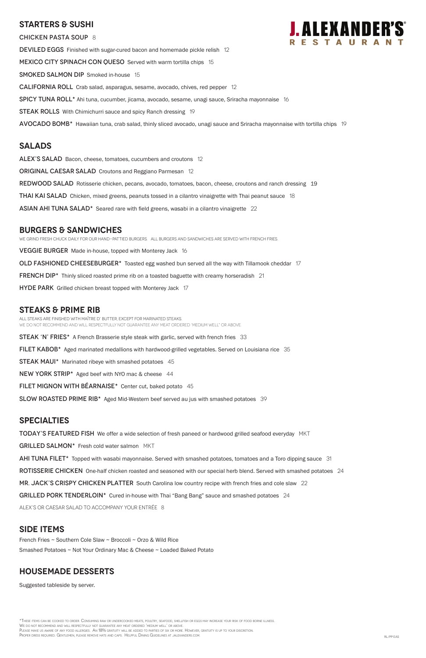## **Starters & Sushi**

CHICKEN PASTA SOUP 8 DEVILED EGGS Finished with sugar-cured bacon and homemade pickle relish 12 MEXICO CITY SPINACH CON QUESO Served with warm tortilla chips 15 SMOKED SALMON DIP Smoked in-house 15 California Roll Crab salad, asparagus, sesame, avocado, chives, red pepper 12 Spicy Tuna Roll\* Ahi tuna, cucumber, jicama, avocado, sesame, unagi sauce, Sriracha mayonnaise 16 **STEAK ROLLS** With Chimichurri sauce and spicy Ranch dressing 19 AVOCADO BOMB<sup>\*</sup> Hawaiian tuna, crab salad, thinly sliced avocado, unagi sauce and Sriracha mayonnaise with tortilla chips 19

## **Salads**

ALEX'S SALAD Bacon, cheese, tomatoes, cucumbers and croutons 12 ORIGINAL CAESAR SALAD Croutons and Reggiano Parmesan 12 REDWOOD SALAD Rotisserie chicken, pecans, avocado, tomatoes, bacon, cheese, croutons and ranch dressing 19 **THAI KAI SALAD** Chicken, mixed greens, peanuts tossed in a cilantro vinaigrette with Thai peanut sauce 18 ASIAN AHI TUNA SALAD<sup>\*</sup> Seared rare with field greens, wasabi in a cilantro vinaigrette 22

## **burgers & Sandwiches**

We grind fresh chuck daily for our hand-pattied burgers. All Burgers and sandwiches are served with French Fries. VEGGIE BURGER Made in-house, topped with Monterey Jack 16 OLD FASHIONED CHEESEBURGER\* Toasted egg washed bun served all the way with Tillamook cheddar 17 **FRENCH DIP\*** Thinly sliced roasted prime rib on a toasted baguette with creamy horseradish 21 HYDE PARK Grilled chicken breast topped with Monterey Jack 17

## **STEAKS & Prime Rib**

\*These items can be cooked to order. Consuming raw or undercooked meats, poultry, seafood, shellfish or eggs may increase your risk of food borne illness. We do not recommend and will respectfully not guarantee any meat ordered 'medium well' or above. PLEASE MAKE US AWARE OF ANY FOOD ALLERGIES. AN 18% GRATUITY WILL BE ADDED TO PARTIES OF SIX OR MORE. HOWEVER, GRATUITY IS UP TO YOUR DISCRETION. Proper dress required. Gentlemen, please remove hats and caps. Helpful Dining Guidelines at jalexanders.com. RL/PP EAS

All steaks are finished with Maître d' butter, except for marinated steaks. WE DO NOT RECOMMEND AND WILL RESPECTFULLY NOT GUARANTEE ANY MEAT ORDERED 'MEDIUM WELL" OR ABOVE.

**STEAK 'N' FRIES\*** A French Brasserie style steak with garlic, served with french fries 33

FILET KABOB\* Aged marinated medallions with hardwood-grilled vegetables. Served on Louisiana rice 35

STEAK MAUI\* Marinated ribeye with smashed potatoes 45

NEW YORK STRIP\* Aged beef with NYO mac & cheese 44

FILET MIGNON WITH BÉARNAISE $*$  Center cut, baked potato 45

SLOW ROASTED PRIME RIB<sup>\*</sup> Aged Mid-Western beef served au jus with smashed potatoes 39

## **specialties**

TODAY'S FEATURED FISH We offer a wide selection of fresh paneed or hardwood grilled seafood everyday MKT

GRILLED SALMON\* Fresh cold water salmon MKT

AHI TUNA FILET<sup>\*</sup> Topped with wasabi mayonnaise. Served with smashed potatoes, tomatoes and a Toro dipping sauce 31

ROTISSERIE CHICKEN One-half chicken roasted and seasoned with our special herb blend. Served with smashed potatoes 24

MR. JACK'S CRISPY CHICKEN PLATTER South Carolina low country recipe with french fries and cole slaw 22



GRILLED PORK TENDERLOIN\* Cured in-house with Thai "Bang Bang" sauce and smashed potatoes 24

ALEX's or Caesar salad to accompany your entrée 8

## **SIDE ITEMS**

French Fries ~ Southern Cole Slaw ~ Broccoli ~ Orzo & Wild Rice

Smashed Potatoes ~ Not Your Ordinary Mac & Cheese ~ Loaded Baked Potato

## **housemade DESSERTS**

Suggested tableside by server.